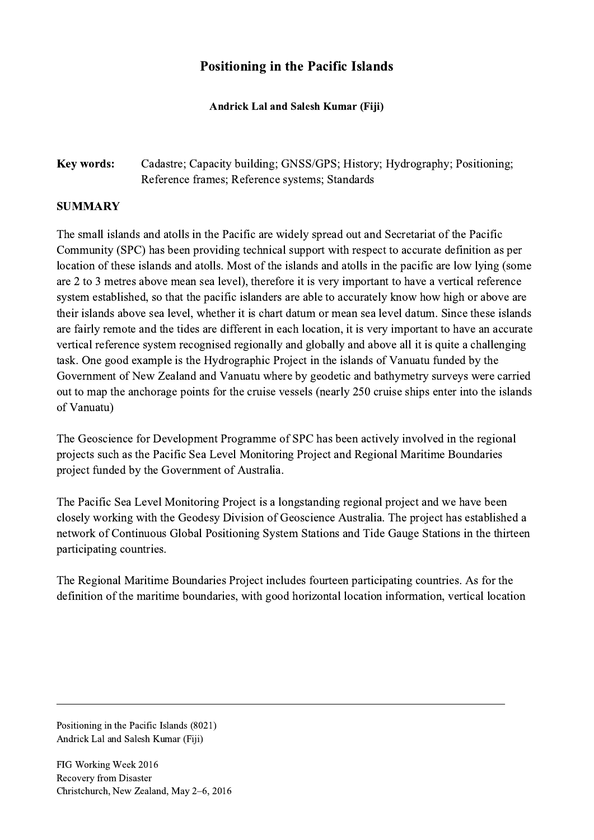## Positioning in the Pacific Islands

Andrick Lal and Salesh Kumar (Fiji)

## Key words: Cadastre; Capacity building; GNSS/GPS; History; Hydrography; Positioning; Reference frames; Reference systems; Standards

## SUMMARY

The small islands and atolls in the Pacific are widely spread out and Secretariat of the Pacific Community (SPC) has been providing technical support with respect to accurate definition as per location of these islands and atolls. Most of the islands and atolls in the pacific are low lying (some are 2 to 3 metres above mean sea level), therefore it is very important to have a vertical reference system established, so that the pacific islanders are able to accurately know how high or above are their islands above sea level, whether it is chart datum or mean sea level datum. Since these islands are fairly remote and the tides are different in each location, it is very important to have an accurate vertical reference system recognised regionally and globally and above all it is quite a challenging task. One good example is the Hydrographic Project in the islands of Vanuatu funded by the Government of New Zealand and Vanuatu where by geodetic and bathymetry surveys were carried out to map the anchorage points for the cruise vessels (nearly 250 cruise ships enter into the islands of Vanuatu)

The Geoscience for Development Programme of SPC has been actively involved in the regional projects such as the Pacific Sea Level Monitoring Project and Regional Maritime Boundaries project funded by the Government of Australia.

The Pacific Sea Level Monitoring Project is a longstanding regional project and we have been closely working with the Geodesy Division of Geoscience Australia. The project has established a network of Continuous Global Positioning System Stations and Tide Gauge Stations in the thirteen participating countries.

The Regional Maritime Boundaries Project includes fourteen participating countries. As for the definition of the maritime boundaries, with good horizontal location information, vertical location

 $\mathcal{L}_\mathcal{L} = \{ \mathcal{L}_\mathcal{L} = \{ \mathcal{L}_\mathcal{L} = \{ \mathcal{L}_\mathcal{L} = \{ \mathcal{L}_\mathcal{L} = \{ \mathcal{L}_\mathcal{L} = \{ \mathcal{L}_\mathcal{L} = \{ \mathcal{L}_\mathcal{L} = \{ \mathcal{L}_\mathcal{L} = \{ \mathcal{L}_\mathcal{L} = \{ \mathcal{L}_\mathcal{L} = \{ \mathcal{L}_\mathcal{L} = \{ \mathcal{L}_\mathcal{L} = \{ \mathcal{L}_\mathcal{L} = \{ \mathcal{L}_\mathcal{$ 

Positioning in the Pacific Islands (8021) Andrick Lal and Salesh Kumar (Fiji)

FIG Working Week 2016 Recovery from Disaster Christchurch, New Zealand, May 2–6, 2016